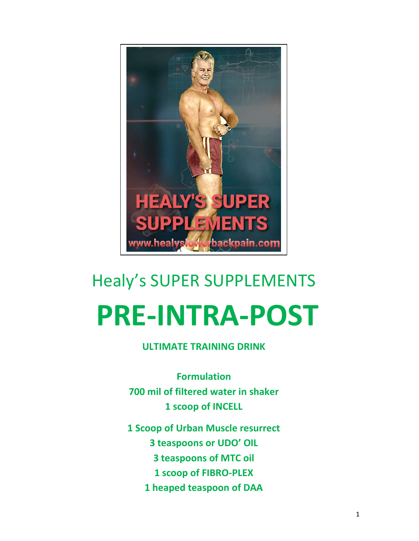

# Healy's SUPER SUPPLEMENTS **PRE-INTRA-POST**

### **ULTIMATE TRAINING DRINK**

**Formulation 700 mil of filtered water in shaker 1 scoop of INCELL** 

- **1 Scoop of Urban Muscle resurrect**
	- **3 teaspoons or UDO' OIL**
	- **3 teaspoons of MTC oil**
	- **1 scoop of FIBRO-PLEX**
	- **1 heaped teaspoon of DAA**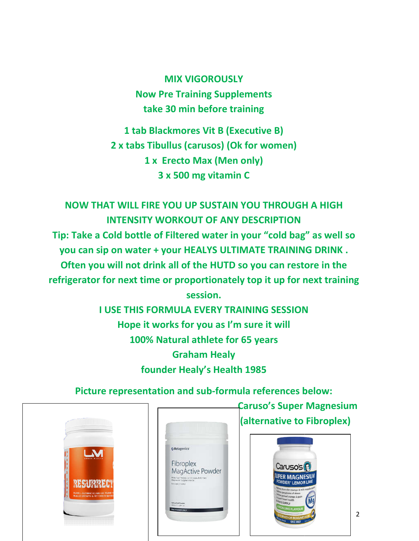## **MIX VIGOROUSLY**

**Now Pre Training Supplements take 30 min before training** 

**1 tab Blackmores Vit B (Executive B) 2 x tabs Tibullus (carusos) (Ok for women) 1 x Erecto Max (Men only) 3 x 500 mg vitamin C** 

**NOW THAT WILL FIRE YOU UP SUSTAIN YOU THROUGH A HIGH INTENSITY WORKOUT OF ANY DESCRIPTION Tip: Take a Cold bottle of Filtered water in your "cold bag" as well so**  ip: Take a Cold bottle of Filtered water in your "cold bag" as well s<br>you can sip on water + your HEALYS ULTIMATE TRAINING DRINK . **Often you will not drink all of the HUTD so you can restore in the refrigerator for next time or proportionately top it up for next training I USE THIS FORMULA EVERY TRAINING SESSION session.**

**Hope it works for you as I'm sure it will 100% Natural athlete for 65 years fou founder Healy's Health 1985 Graham Healy next time or proportionately top it up for next session.**<br> **NSE THIS FORMULA EVERY TRAINING SESSION**<br> **Hope it works for you as I'm sure it will<br>
100% Natural athlete for 65 years<br>
Graham Healy<br>
founder Healy's Health 198** 

**Picture representation and sub-formula references below:** 



| <u>a mana ma</u>                                                                       | <b>Caruso's Super Magnesium</b><br>(alternative to Fibroplex)                                                                                                                |
|----------------------------------------------------------------------------------------|------------------------------------------------------------------------------------------------------------------------------------------------------------------------------|
| <b>G</b> Metagenics                                                                    |                                                                                                                                                                              |
| Fibroplex<br>MagActive Powder<br>Magnesian to believe entirely<br><b>Record showed</b> | Caruso's<br><b>PER MAGNES</b><br>POWDER" LEMON LIME                                                                                                                          |
| <b>Sit &amp; Doll Fourier</b><br><b>MainColema</b><br><b>CUTCAER CALL</b>              | were muscular cramps & mild muscle<br>the tymptoms of stress<br>We period cramps & pain<br><b>Rentheart Ivealth</b><br><b>ABAITS SUPPLY</b><br><b><i>AN LIME FLAVOUR</i></b> |
|                                                                                        |                                                                                                                                                                              |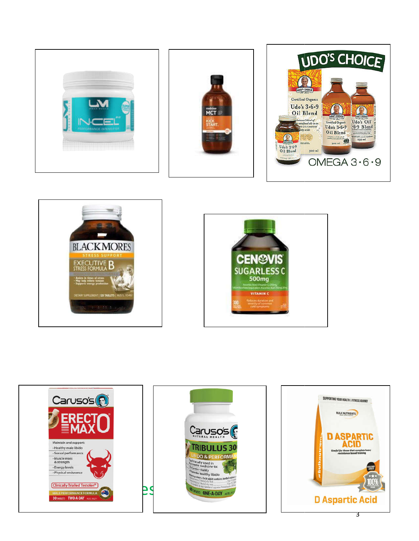









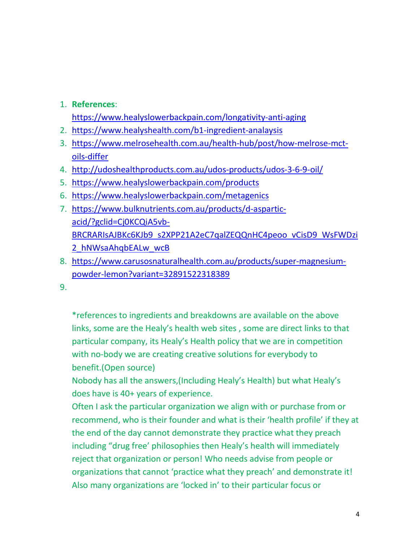#### 1. **[References](https://www.healyslowerbackpain.com/longativity-anti-aging)**:

[https://www.healyslowerbackpain.com/longativity-anti-aging](https://www.melrosehealth.com.au/health-hub/post/how-melrose-mct-oils-differ)

- 2. [https://ww](https://www.melrosehealth.com.au/health-hub/post/how-melrose-mct-oils-differ)w.healyshealth.com/b1-ingredient-analaysis
- 3. [https://www.melrosehealth.com.au/health-hub/post/how-melrose-m](http://udoshealthproducts.com.au/udos-products/udos-3-6-9-oil/)ctoils-differ
- 4. [http://udoshealthproducts.com.au/udos-products/u](https://www.healyslowerbackpain.com/products)dos-3-6-9-oil/
- 5. [https://www.healyslowerbackpain.com/products](https://www.healyslowerbackpain.com/metagenics)
- 6. [https://www.healyslowerbackpain.com/metagenics](https://www.bulknutrients.com.au/products/d-aspartic-acid/?gclid=Cj0KCQiA5vb-BRCRARIsAJBKc6KJb9_s2XPP21A2eC7qalZEQQnHC4peoo_vCisD9_WsFWDzi2_hNWsaAhqbEALw_wcB)
- 7. [https://www.bulknutrients.com.au/products/d-aspartic](https://www.bulknutrients.com.au/products/d-aspartic-acid/?gclid=Cj0KCQiA5vb-BRCRARIsAJBKc6KJb9_s2XPP21A2eC7qalZEQQnHC4peoo_vCisD9_WsFWDzi2_hNWsaAhqbEALw_wcB)acid/?gclid=Cj0KCQiA5vb-BRCRARISAJBKc6KJb9\_s2XP[P21A2eC7qalZEQQnHC4peoo\\_vCisD9\\_WsFWDzi](https://www.carusosnaturalhealth.com.au/products/super-magnesium-powder-lemon?variant=32891522318389) 2\_hNWsaAhqbEALw\_wcB
- 8. [https://www.carusosnaturalhealth.com.au/](https://www.carusosnaturalhealth.com.au/products/super-magnesium-powder-lemon?variant=32891522318389)products/super-magnesiumpowder-lemon?variant=32891522318389
- 9.

\*references to ingredients and breakdowns are available on the above links, some are the Healy's health web sites , some are direct links to that particular company, its Healy's Health policy that we are in competition with no-body we are creating creative solutions for everybody to benefit.(Open source)

Nobody has all the answers,(Including Healy's Health) but what Healy's does have is 40+ years of experience.

Often I ask the particular organization we align with or purchase from or recommend, who is their founder and what is their 'health profile' if they at the end of the day cannot demonstrate they practice what they preach including "drug free' philosophies then Healy's health will immediately reject that organization or person! Who needs advise from people or organizations that cannot 'practice what they preach' and demonstrate it! Also many organizations are 'locked in' to their particular focus or